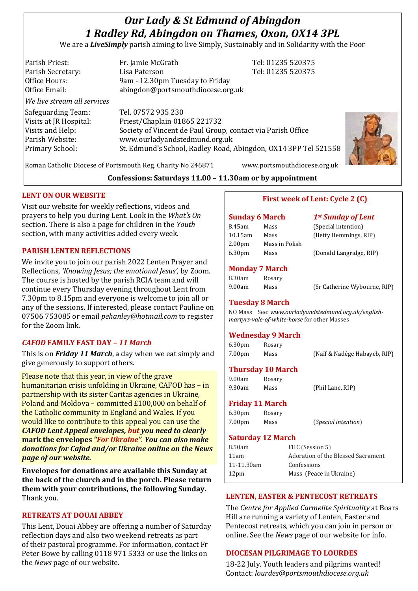# *Our Lady & St Edmund of Abingdon 1 Radley Rd, Abingdon on Thames, Oxon, OX14 3PL*

We are a *LiveSimply* parish aiming to live Simply, Sustainably and in Solidarity with the Poor

| Parish Priest:              | Fr. Jamie McGrath                                               | Tel: 01235 520375 |
|-----------------------------|-----------------------------------------------------------------|-------------------|
| Parish Secretary:           | Lisa Paterson                                                   | Tel: 01235 520375 |
| Office Hours:               | 9am - 12.30pm Tuesday to Friday                                 |                   |
| Office Email:               | abingdon@portsmouthdiocese.org.uk                               |                   |
| We live stream all services |                                                                 |                   |
| Safeguarding Team:          | Tel. 07572 935 230                                              |                   |
| Visits at JR Hospital:      | Priest/Chaplain 01865 221732                                    |                   |
| Visits and Help:            | Society of Vincent de Paul Group, contact via Parish Office     |                   |
| Parish Website:             | www.ourladyandstedmund.org.uk                                   |                   |
| Primary School:             | St. Edmund's School, Radley Road, Abingdon, OX14 3PP Tel 521558 |                   |
|                             |                                                                 |                   |



Roman Catholic Diocese of Portsmouth Reg. Charity No 246871 www.portsmouthdiocese.org.uk

## **Confessions: Saturdays 11.00 – 11.30am or by appointment**

#### **LENT ON OUR WEBSITE**

Visit our website for weekly reflections, videos and prayers to help you during Lent. Look in the *What's On* section. There is also a page for children in the *Youth* section, with many activities added every week.

#### **PARISH LENTEN REFLECTIONS**

We invite you to join our parish 2022 Lenten Prayer and Reflections, *'Knowing Jesus; the emotional Jesus'*, by Zoom. The course is hosted by the parish RCIA team and will continue every Thursday evening throughout Lent from 7.30pm to 8.15pm and everyone is welcome to join all or any of the sessions. If interested, please contact Pauline on 07506 753085 or email *pehanley@hotmail.com* to register for the Zoom link.

#### *CAFOD* **FAMILY FAST DAY** *– 11 March*

This is on *Friday 11 March*, a day when we eat simply and give generously to support others.

Please note that this year, in view of the grave humanitarian crisis unfolding in Ukraine, CAFOD has – in partnership with its sister Caritas agencies in Ukraine, Poland and Moldova – committed £100,000 on behalf of the Catholic community in England and Wales. If you would like to contribute to this appeal you can use the *CAFOD Lent Appeal envelopes, but you need to clearly* **mark the envelopes** *"For Ukraine"*. *You can also make donations for Cafod and/or Ukraine online on the News page of our website.*

**Envelopes for donations are available this Sunday at the back of the church and in the porch. Please return them with your contributions, the following Sunday.** Thank you.

# **RETREATS AT DOUAI ABBEY**

This Lent, Douai Abbey are offering a number of Saturday reflection days and also two weekend retreats as part of their pastoral programme. For information, contact Fr Peter Bowe by calling 0118 971 5333 or use the links on the *News* page of our website.

## **First week of Lent: Cycle 2 (C)**

# **Sunday 6 March** *1st Sunday of Lent* 8.45am Mass (Special intention) 10.15am Mass (Betty Hemmings, RIP) 2.00pm Mass in Polish 6.30pm Mass (Donald Langridge, RIP)

#### **Monday 7 March**

| 8.30am | Rosary |
|--------|--------|
| 9.00am | Mass   |

9.00am Mass (Sr Catherine Wybourne, RIP)

#### **Tuesday 8 March**

NO Mass See: *www.ourladyandstedmund.org.uk/englishmartyrs-vale-of-white-horse* for other Masses

#### **Wednesday 9 March**

| 6.30 <sub>pm</sub> | Rosary |                              |
|--------------------|--------|------------------------------|
| 7.00pm             | Mass   | (Naïf & Nadége Habayeb, RIP) |

### **Thursday 10 March**

| 9.00am | Rosary |                  |
|--------|--------|------------------|
| 9.30am | Mass   | (Phil Lane, RIP) |

#### **Friday 11 March**

| 6.30 <sub>pm</sub> | Rosary |                              |
|--------------------|--------|------------------------------|
| 7.00pm             | Mass   | ( <i>Special intention</i> ) |

#### **Saturday 12 March**

| 8.50am           | FHC (Session 5)                    |
|------------------|------------------------------------|
| 11am             | Adoration of the Blessed Sacrament |
| 11-11.30am       | Confessions                        |
| 12 <sub>pm</sub> | Mass (Peace in Ukraine)            |
|                  |                                    |

## **LENTEN, EASTER & PENTECOST RETREATS**

The *Centre for Applied Carmelite Spirituality* at Boars Hill are running a variety of Lenten, Easter and Pentecost retreats, which you can join in person or online. See the *News* page of our website for info.

#### **DIOCESAN PILGRIMAGE TO LOURDES**

18-22 July. Youth leaders and pilgrims wanted! Contact: *lourdes@portsmouthdiocese.org.uk*